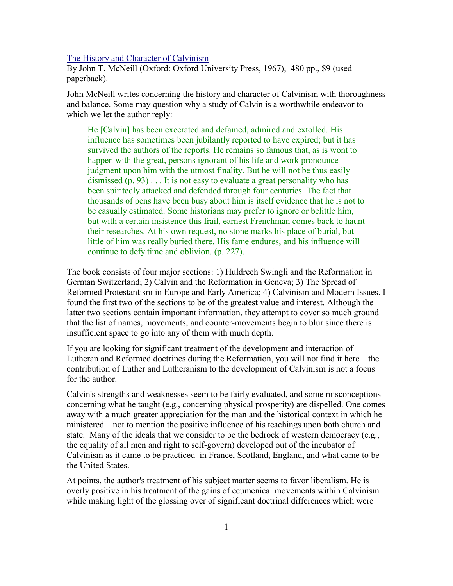[The History and Character of Calvinism](http://www.bestbookdeal.com/book/compare/0195007433)

By John T. McNeill (Oxford: Oxford University Press, 1967), 480 pp., \$9 (used paperback).

John McNeill writes concerning the history and character of Calvinism with thoroughness and balance. Some may question why a study of Calvin is a worthwhile endeavor to which we let the author reply:

He [Calvin] has been execrated and defamed, admired and extolled. His influence has sometimes been jubilantly reported to have expired; but it has survived the authors of the reports. He remains so famous that, as is wont to happen with the great, persons ignorant of his life and work pronounce judgment upon him with the utmost finality. But he will not be thus easily dismissed  $(p. 93)$ ... It is not easy to evaluate a great personality who has been spiritedly attacked and defended through four centuries. The fact that thousands of pens have been busy about him is itself evidence that he is not to be casually estimated. Some historians may prefer to ignore or belittle him, but with a certain insistence this frail, earnest Frenchman comes back to haunt their researches. At his own request, no stone marks his place of burial, but little of him was really buried there. His fame endures, and his influence will continue to defy time and oblivion. (p. 227).

The book consists of four major sections: 1) Huldrech Swingli and the Reformation in German Switzerland; 2) Calvin and the Reformation in Geneva; 3) The Spread of Reformed Protestantism in Europe and Early America; 4) Calvinism and Modern Issues. I found the first two of the sections to be of the greatest value and interest. Although the latter two sections contain important information, they attempt to cover so much ground that the list of names, movements, and counter-movements begin to blur since there is insufficient space to go into any of them with much depth.

If you are looking for significant treatment of the development and interaction of Lutheran and Reformed doctrines during the Reformation, you will not find it here—the contribution of Luther and Lutheranism to the development of Calvinism is not a focus for the author.

Calvin's strengths and weaknesses seem to be fairly evaluated, and some misconceptions concerning what he taught (e.g., concerning physical prosperity) are dispelled. One comes away with a much greater appreciation for the man and the historical context in which he ministered—not to mention the positive influence of his teachings upon both church and state. Many of the ideals that we consider to be the bedrock of western democracy (e.g., the equality of all men and right to self-govern) developed out of the incubator of Calvinism as it came to be practiced in France, Scotland, England, and what came to be the United States.

At points, the author's treatment of his subject matter seems to favor liberalism. He is overly positive in his treatment of the gains of ecumenical movements within Calvinism while making light of the glossing over of significant doctrinal differences which were